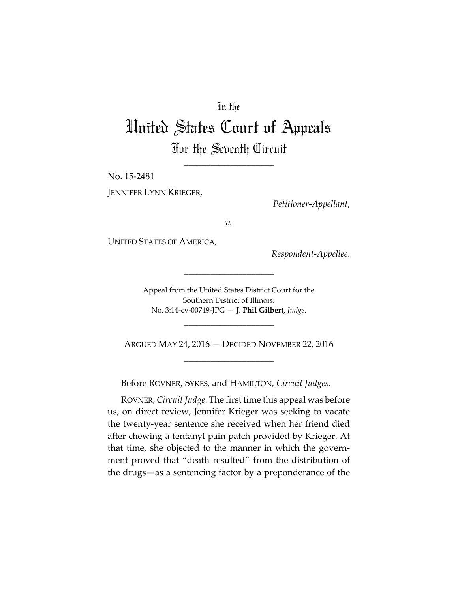## In the

## United States Court of Appeals For the Seventh Circuit

\_\_\_\_\_\_\_\_\_\_\_\_\_\_\_\_\_\_\_\_

No. 15-2481 JENNIFER LYNN KRIEGER,

*Petitioner-Appellant*,

*v.*

UNITED STATES OF AMERICA,

*Respondent-Appellee*.

Appeal from the United States District Court for the Southern District of Illinois. No. 3:14-cv-00749-JPG — **J. Phil Gilbert**, *Judge*.

\_\_\_\_\_\_\_\_\_\_\_\_\_\_\_\_\_\_\_\_

ARGUED MAY 24, 2016 — DECIDED NOVEMBER 22, 2016 \_\_\_\_\_\_\_\_\_\_\_\_\_\_\_\_\_\_\_\_

\_\_\_\_\_\_\_\_\_\_\_\_\_\_\_\_\_\_\_\_

Before ROVNER, SYKES, and HAMILTON, *Circuit Judges*.

ROVNER, *Circuit Judge*. The first time this appeal was before us, on direct review, Jennifer Krieger was seeking to vacate the twenty-year sentence she received when her friend died after chewing a fentanyl pain patch provided by Krieger. At that time, she objected to the manner in which the government proved that "death resulted" from the distribution of the drugs—as a sentencing factor by a preponderance of the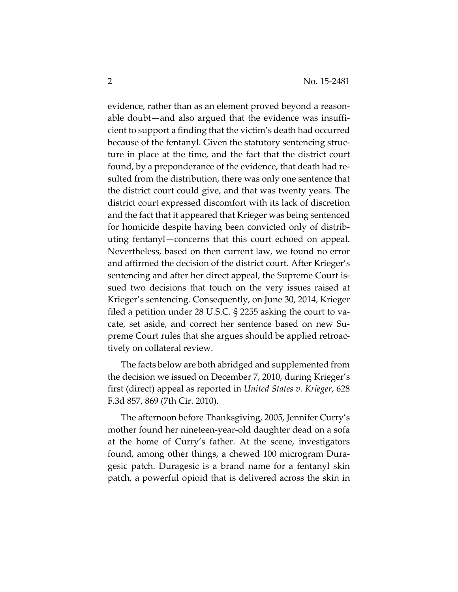evidence, rather than as an element proved beyond a reasonable doubt—and also argued that the evidence was insufficient to support a finding that the victim's death had occurred because of the fentanyl. Given the statutory sentencing structure in place at the time, and the fact that the district court found, by a preponderance of the evidence, that death had resulted from the distribution, there was only one sentence that the district court could give, and that was twenty years. The district court expressed discomfort with its lack of discretion and the fact that it appeared that Krieger was being sentenced for homicide despite having been convicted only of distributing fentanyl—concerns that this court echoed on appeal. Nevertheless, based on then current law, we found no error and affirmed the decision of the district court. After Krieger's sentencing and after her direct appeal, the Supreme Court issued two decisions that touch on the very issues raised at Krieger's sentencing. Consequently, on June 30, 2014, Krieger filed a petition under 28 U.S.C. § 2255 asking the court to vacate, set aside, and correct her sentence based on new Supreme Court rules that she argues should be applied retroactively on collateral review.

The facts below are both abridged and supplemented from the decision we issued on December 7, 2010, during Krieger's first (direct) appeal as reported in *United States v. Krieger*, 628 F.3d 857, 869 (7th Cir. 2010).

The afternoon before Thanksgiving, 2005, Jennifer Curry's mother found her nineteen-year-old daughter dead on a sofa at the home of Curry's father. At the scene, investigators found, among other things, a chewed 100 microgram Duragesic patch. Duragesic is a brand name for a fentanyl skin patch, a powerful opioid that is delivered across the skin in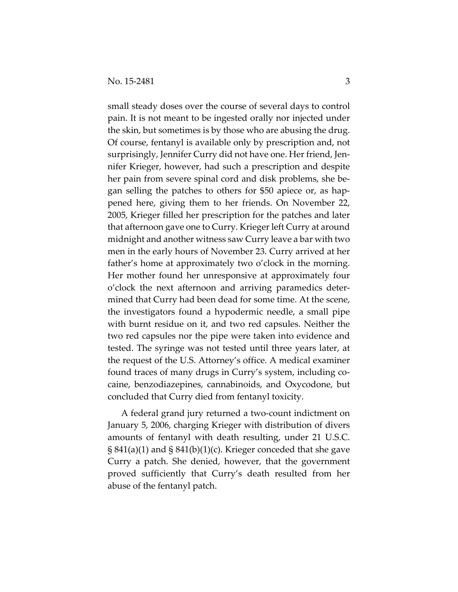small steady doses over the course of several days to control pain. It is not meant to be ingested orally nor injected under the skin, but sometimes is by those who are abusing the drug. Of course, fentanyl is available only by prescription and, not surprisingly, Jennifer Curry did not have one. Her friend, Jennifer Krieger, however, had such a prescription and despite her pain from severe spinal cord and disk problems, she began selling the patches to others for \$50 apiece or, as happened here, giving them to her friends. On November 22, 2005, Krieger filled her prescription for the patches and later that afternoon gave one to Curry. Krieger left Curry at around midnight and another witness saw Curry leave a bar with two men in the early hours of November 23. Curry arrived at her father's home at approximately two o'clock in the morning. Her mother found her unresponsive at approximately four o'clock the next afternoon and arriving paramedics determined that Curry had been dead for some time. At the scene, the investigators found a hypodermic needle, a small pipe with burnt residue on it, and two red capsules. Neither the two red capsules nor the pipe were taken into evidence and tested. The syringe was not tested until three years later, at the request of the U.S. Attorney's office. A medical examiner found traces of many drugs in Curry's system, including cocaine, benzodiazepines, cannabinoids, and Oxycodone, but concluded that Curry died from fentanyl toxicity.

A federal grand jury returned a two-count indictment on January 5, 2006, charging Krieger with distribution of divers amounts of fentanyl with death resulting, under 21 U.S.C.  $\S 841(a)(1)$  and  $\S 841(b)(1)(c)$ . Krieger conceded that she gave Curry a patch. She denied, however, that the government proved sufficiently that Curry's death resulted from her abuse of the fentanyl patch.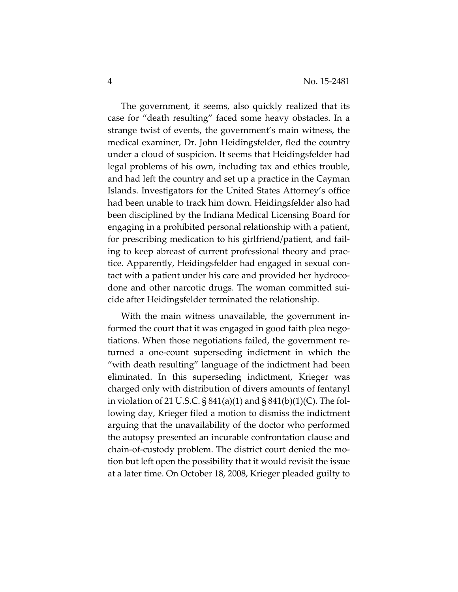The government, it seems, also quickly realized that its case for "death resulting" faced some heavy obstacles. In a strange twist of events, the government's main witness, the medical examiner, Dr. John Heidingsfelder, fled the country under a cloud of suspicion. It seems that Heidingsfelder had legal problems of his own, including tax and ethics trouble, and had left the country and set up a practice in the Cayman Islands. Investigators for the United States Attorney's office had been unable to track him down. Heidingsfelder also had been disciplined by the Indiana Medical Licensing Board for engaging in a prohibited personal relationship with a patient, for prescribing medication to his girlfriend/patient, and failing to keep abreast of current professional theory and practice. Apparently, Heidingsfelder had engaged in sexual contact with a patient under his care and provided her hydrocodone and other narcotic drugs. The woman committed suicide after Heidingsfelder terminated the relationship.

With the main witness unavailable, the government informed the court that it was engaged in good faith plea negotiations. When those negotiations failed, the government returned a one-count superseding indictment in which the "with death resulting" language of the indictment had been eliminated. In this superseding indictment, Krieger was charged only with distribution of divers amounts of fentanyl in violation of 21 U.S.C.  $\S 841(a)(1)$  and  $\S 841(b)(1)(C)$ . The following day, Krieger filed a motion to dismiss the indictment arguing that the unavailability of the doctor who performed the autopsy presented an incurable confrontation clause and chain-of-custody problem. The district court denied the motion but left open the possibility that it would revisit the issue at a later time. On October 18, 2008, Krieger pleaded guilty to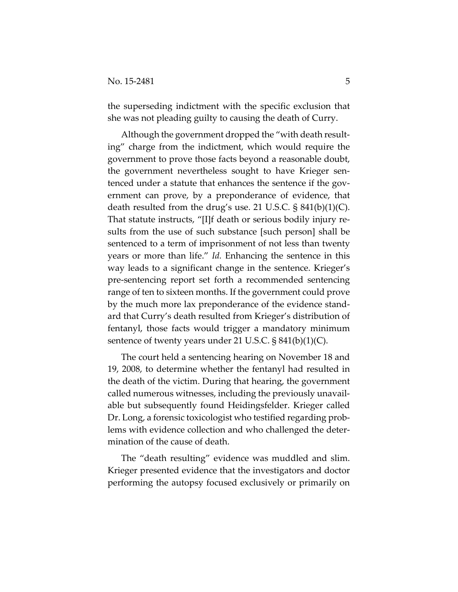the superseding indictment with the specific exclusion that she was not pleading guilty to causing the death of Curry.

Although the government dropped the "with death resulting" charge from the indictment, which would require the government to prove those facts beyond a reasonable doubt, the government nevertheless sought to have Krieger sentenced under a statute that enhances the sentence if the government can prove, by a preponderance of evidence, that death resulted from the drug's use. 21 U.S.C.  $\S$  841(b)(1)(C). That statute instructs, "[I]f death or serious bodily injury results from the use of such substance [such person] shall be sentenced to a term of imprisonment of not less than twenty years or more than life." *Id.* Enhancing the sentence in this way leads to a significant change in the sentence. Krieger's pre-sentencing report set forth a recommended sentencing range of ten to sixteen months. If the government could prove by the much more lax preponderance of the evidence standard that Curry's death resulted from Krieger's distribution of fentanyl, those facts would trigger a mandatory minimum sentence of twenty years under 21 U.S.C.  $\S 841(b)(1)(C)$ .

The court held a sentencing hearing on November 18 and 19, 2008, to determine whether the fentanyl had resulted in the death of the victim. During that hearing, the government called numerous witnesses, including the previously unavailable but subsequently found Heidingsfelder. Krieger called Dr. Long, a forensic toxicologist who testified regarding problems with evidence collection and who challenged the determination of the cause of death.

The "death resulting" evidence was muddled and slim. Krieger presented evidence that the investigators and doctor performing the autopsy focused exclusively or primarily on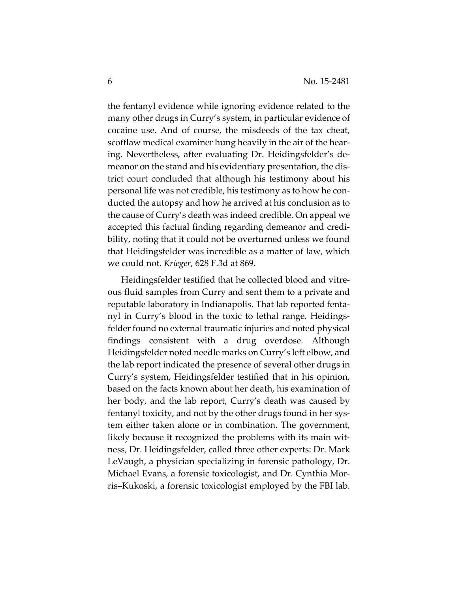the fentanyl evidence while ignoring evidence related to the many other drugs in Curry's system, in particular evidence of cocaine use. And of course, the misdeeds of the tax cheat, scofflaw medical examiner hung heavily in the air of the hearing. Nevertheless, after evaluating Dr. Heidingsfelder's demeanor on the stand and his evidentiary presentation, the district court concluded that although his testimony about his personal life was not credible, his testimony as to how he conducted the autopsy and how he arrived at his conclusion as to the cause of Curry's death was indeed credible. On appeal we accepted this factual finding regarding demeanor and credibility, noting that it could not be overturned unless we found that Heidingsfelder was incredible as a matter of law, which we could not. *Krieger*, 628 F.3d at 869.

Heidingsfelder testified that he collected blood and vitreous fluid samples from Curry and sent them to a private and reputable laboratory in Indianapolis. That lab reported fentanyl in Curry's blood in the toxic to lethal range. Heidingsfelder found no external traumatic injuries and noted physical findings consistent with a drug overdose. Although Heidingsfelder noted needle marks on Curry's left elbow, and the lab report indicated the presence of several other drugs in Curry's system, Heidingsfelder testified that in his opinion, based on the facts known about her death, his examination of her body, and the lab report, Curry's death was caused by fentanyl toxicity, and not by the other drugs found in her system either taken alone or in combination. The government, likely because it recognized the problems with its main witness, Dr. Heidingsfelder, called three other experts: Dr. Mark LeVaugh, a physician specializing in forensic pathology, Dr. Michael Evans, a forensic toxicologist, and Dr. Cynthia Morris–Kukoski, a forensic toxicologist employed by the FBI lab.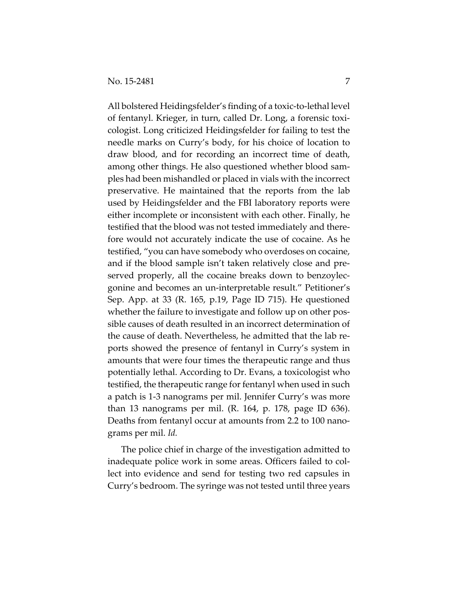All bolstered Heidingsfelder's finding of a toxic-to-lethal level of fentanyl. Krieger, in turn, called Dr. Long, a forensic toxicologist. Long criticized Heidingsfelder for failing to test the needle marks on Curry's body, for his choice of location to draw blood, and for recording an incorrect time of death, among other things. He also questioned whether blood samples had been mishandled or placed in vials with the incorrect preservative. He maintained that the reports from the lab used by Heidingsfelder and the FBI laboratory reports were either incomplete or inconsistent with each other. Finally, he testified that the blood was not tested immediately and therefore would not accurately indicate the use of cocaine. As he testified, "you can have somebody who overdoses on cocaine, and if the blood sample isn't taken relatively close and preserved properly, all the cocaine breaks down to benzoylecgonine and becomes an un-interpretable result." Petitioner's Sep. App. at 33 (R. 165, p.19, Page ID 715). He questioned whether the failure to investigate and follow up on other possible causes of death resulted in an incorrect determination of the cause of death. Nevertheless, he admitted that the lab reports showed the presence of fentanyl in Curry's system in amounts that were four times the therapeutic range and thus potentially lethal. According to Dr. Evans, a toxicologist who testified, the therapeutic range for fentanyl when used in such a patch is 1-3 nanograms per mil. Jennifer Curry's was more than 13 nanograms per mil. (R. 164, p. 178, page ID 636). Deaths from fentanyl occur at amounts from 2.2 to 100 nanograms per mil. *Id.*

The police chief in charge of the investigation admitted to inadequate police work in some areas. Officers failed to collect into evidence and send for testing two red capsules in Curry's bedroom. The syringe was not tested until three years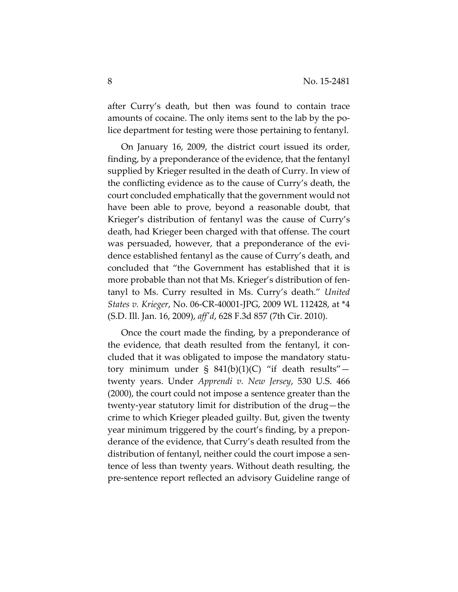after Curry's death, but then was found to contain trace amounts of cocaine. The only items sent to the lab by the police department for testing were those pertaining to fentanyl.

On January 16, 2009, the district court issued its order, finding, by a preponderance of the evidence, that the fentanyl supplied by Krieger resulted in the death of Curry. In view of the conflicting evidence as to the cause of Curry's death, the court concluded emphatically that the government would not have been able to prove, beyond a reasonable doubt, that Krieger's distribution of fentanyl was the cause of Curry's death, had Krieger been charged with that offense. The court was persuaded, however, that a preponderance of the evidence established fentanyl as the cause of Curry's death, and concluded that "the Government has established that it is more probable than not that Ms. Krieger's distribution of fentanyl to Ms. Curry resulted in Ms. Curry's death." *United States v. Krieger*, No. 06-CR-40001-JPG, 2009 WL 112428, at \*4 (S.D. Ill. Jan. 16, 2009), *aff'd*, 628 F.3d 857 (7th Cir. 2010).

Once the court made the finding, by a preponderance of the evidence, that death resulted from the fentanyl, it concluded that it was obligated to impose the mandatory statutory minimum under §  $841(b)(1)(C)$  "if death results" twenty years. Under *Apprendi v. New Jersey*, 530 U.S. 466 (2000), the court could not impose a sentence greater than the twenty-year statutory limit for distribution of the drug—the crime to which Krieger pleaded guilty. But, given the twenty year minimum triggered by the court's finding, by a preponderance of the evidence, that Curry's death resulted from the distribution of fentanyl, neither could the court impose a sentence of less than twenty years. Without death resulting, the pre-sentence report reflected an advisory Guideline range of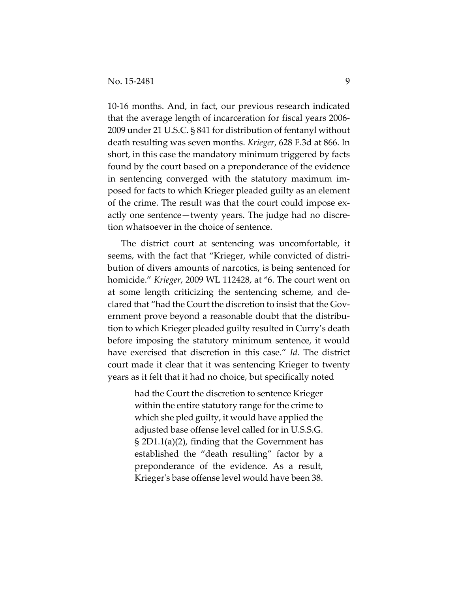10-16 months. And, in fact, our previous research indicated that the average length of incarceration for fiscal years 2006- 2009 under 21 U.S.C. § 841 for distribution of fentanyl without death resulting was seven months. *Krieger*, 628 F.3d at 866. In short, in this case the mandatory minimum triggered by facts found by the court based on a preponderance of the evidence in sentencing converged with the statutory maximum imposed for facts to which Krieger pleaded guilty as an element of the crime. The result was that the court could impose exactly one sentence—twenty years. The judge had no discretion whatsoever in the choice of sentence.

The district court at sentencing was uncomfortable, it seems, with the fact that "Krieger, while convicted of distribution of divers amounts of narcotics, is being sentenced for homicide." *Krieger*, 2009 WL 112428, at \*6. The court went on at some length criticizing the sentencing scheme, and declared that "had the Court the discretion to insist that the Government prove beyond a reasonable doubt that the distribution to which Krieger pleaded guilty resulted in Curry's death before imposing the statutory minimum sentence, it would have exercised that discretion in this case." *Id.* The district court made it clear that it was sentencing Krieger to twenty years as it felt that it had no choice, but specifically noted

> had the Court the discretion to sentence Krieger within the entire statutory range for the crime to which she pled guilty, it would have applied the adjusted base offense level called for in U.S.S.G. § 2D1.1(a)(2), finding that the Government has established the "death resulting" factor by a preponderance of the evidence. As a result, Krieger's base offense level would have been 38.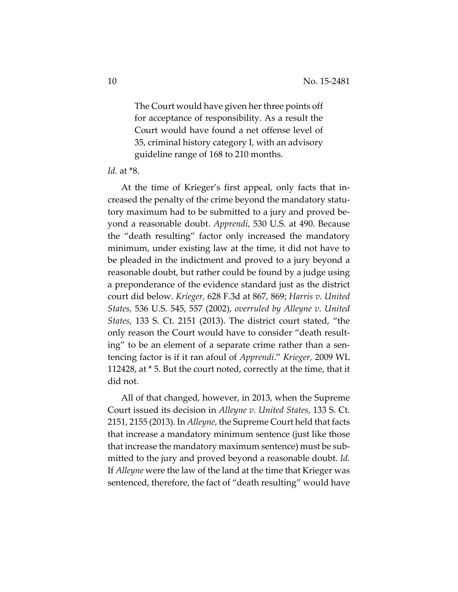The Court would have given her three points off for acceptance of responsibility. As a result the Court would have found a net offense level of 35, criminal history category I, with an advisory guideline range of 168 to 210 months.

## *Id.* at \*8.

At the time of Krieger's first appeal, only facts that increased the penalty of the crime beyond the mandatory statutory maximum had to be submitted to a jury and proved beyond a reasonable doubt. *Apprendi*, 530 U.S. at 490. Because the "death resulting" factor only increased the mandatory minimum, under existing law at the time, it did not have to be pleaded in the indictment and proved to a jury beyond a reasonable doubt, but rather could be found by a judge using a preponderance of the evidence standard just as the district court did below. *Krieger,* 628 F.3d at 867, 869; *Harris v. United States,* 536 U.S. 545, 557 (2002), *overruled by Alleyne v. United States*, 133 S. Ct. 2151 (2013). The district court stated, "the only reason the Court would have to consider "death resulting" to be an element of a separate crime rather than a sentencing factor is if it ran afoul of *Apprendi*." *Krieger,* 2009 WL 112428, at \* 5. But the court noted, correctly at the time, that it did not.

All of that changed, however, in 2013, when the Supreme Court issued its decision in *Alleyne v. United States*, 133 S. Ct. 2151, 2155 (2013). In *Alleyne*, the Supreme Court held that facts that increase a mandatory minimum sentence (just like those that increase the mandatory maximum sentence) must be submitted to the jury and proved beyond a reasonable doubt. *Id.* If *Alleyne* were the law of the land at the time that Krieger was sentenced, therefore, the fact of "death resulting" would have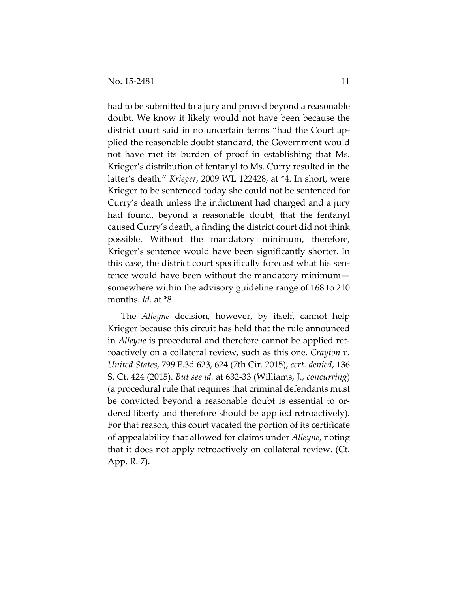had to be submitted to a jury and proved beyond a reasonable doubt. We know it likely would not have been because the district court said in no uncertain terms "had the Court applied the reasonable doubt standard, the Government would not have met its burden of proof in establishing that Ms. Krieger's distribution of fentanyl to Ms. Curry resulted in the latter's death." *Krieger*, 2009 WL 122428, at \*4. In short, were Krieger to be sentenced today she could not be sentenced for Curry's death unless the indictment had charged and a jury had found, beyond a reasonable doubt, that the fentanyl caused Curry's death, a finding the district court did not think possible. Without the mandatory minimum, therefore, Krieger's sentence would have been significantly shorter. In this case, the district court specifically forecast what his sentence would have been without the mandatory minimum somewhere within the advisory guideline range of 168 to 210 months. *Id.* at \*8.

The *Alleyne* decision, however, by itself, cannot help Krieger because this circuit has held that the rule announced in *Alleyne* is procedural and therefore cannot be applied retroactively on a collateral review, such as this one. *Crayton v. United States*, 799 F.3d 623, 624 (7th Cir. 2015), *cert. denied*, 136 S. Ct. 424 (2015). *But see id.* at 632-33 (Williams, J., *concurring*) (a procedural rule that requires that criminal defendants must be convicted beyond a reasonable doubt is essential to ordered liberty and therefore should be applied retroactively). For that reason, this court vacated the portion of its certificate of appealability that allowed for claims under *Alleyne*, noting that it does not apply retroactively on collateral review. (Ct. App. R. 7).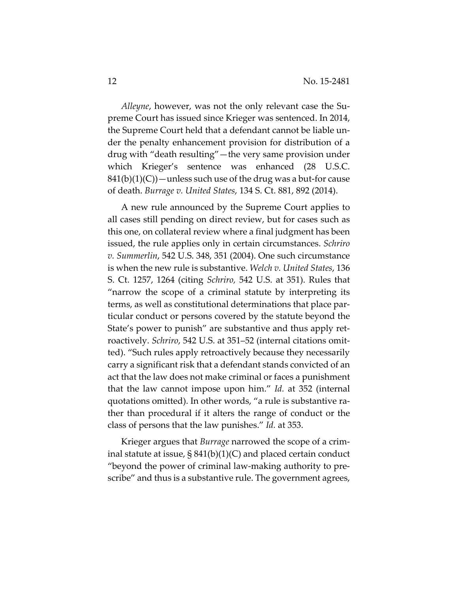*Alleyne*, however, was not the only relevant case the Supreme Court has issued since Krieger was sentenced. In 2014, the Supreme Court held that a defendant cannot be liable under the penalty enhancement provision for distribution of a drug with "death resulting"—the very same provision under which Krieger's sentence was enhanced (28 U.S.C.  $841(b)(1)(C)$  — unless such use of the drug was a but-for cause of death. *Burrage v. United States*, 134 S. Ct. 881, 892 (2014).

A new rule announced by the Supreme Court applies to all cases still pending on direct review, but for cases such as this one, on collateral review where a final judgment has been issued, the rule applies only in certain circumstances. *Schriro v. Summerlin*, 542 U.S. 348, 351 (2004). One such circumstance is when the new rule is substantive. *Welch v. United States*, 136 S. Ct. 1257, 1264 (citing *Schriro,* 542 U.S. at 351). Rules that "narrow the scope of a criminal statute by interpreting its terms, as well as constitutional determinations that place particular conduct or persons covered by the statute beyond the State's power to punish" are substantive and thus apply retroactively. *Schriro*, 542 U.S. at 351–52 (internal citations omitted). "Such rules apply retroactively because they necessarily carry a significant risk that a defendant stands convicted of an act that the law does not make criminal or faces a punishment that the law cannot impose upon him." *Id.* at 352 (internal quotations omitted). In other words, "a rule is substantive rather than procedural if it alters the range of conduct or the class of persons that the law punishes." *Id.* at 353.

Krieger argues that *Burrage* narrowed the scope of a criminal statute at issue, § 841(b)(1)(C) and placed certain conduct "beyond the power of criminal law-making authority to prescribe" and thus is a substantive rule. The government agrees,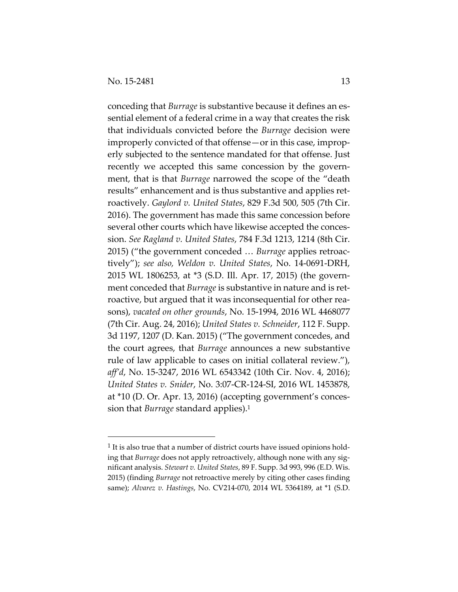-

conceding that *Burrage* is substantive because it defines an essential element of a federal crime in a way that creates the risk that individuals convicted before the *Burrage* decision were improperly convicted of that offense—or in this case, improperly subjected to the sentence mandated for that offense. Just recently we accepted this same concession by the government, that is that *Burrage* narrowed the scope of the "death results" enhancement and is thus substantive and applies retroactively. *Gaylord v. United States*, 829 F.3d 500, 505 (7th Cir. 2016). The government has made this same concession before several other courts which have likewise accepted the concession. *See Ragland v. United States*, 784 F.3d 1213, 1214 (8th Cir. 2015) ("the government conceded … *Burrage* applies retroactively"); *see also, Weldon v. United States*, No. 14-0691-DRH, 2015 WL 1806253, at \*3 (S.D. Ill. Apr. 17, 2015) (the government conceded that *Burrage* is substantive in nature and is retroactive, but argued that it was inconsequential for other reasons), *vacated on other grounds*, No. 15-1994, 2016 WL 4468077 (7th Cir. Aug. 24, 2016); *United States v. Schneider*, 112 F. Supp. 3d 1197, 1207 (D. Kan. 2015) ("The government concedes, and the court agrees, that *Burrage* announces a new substantive rule of law applicable to cases on initial collateral review."), *aff'd*, No. 15-3247, 2016 WL 6543342 (10th Cir. Nov. 4, 2016); *United States v. Snider*, No. 3:07-CR-124-SI, 2016 WL 1453878, at \*10 (D. Or. Apr. 13, 2016) (accepting government's concession that *Burrage* standard applies).1

<sup>&</sup>lt;sup>1</sup> It is also true that a number of district courts have issued opinions holding that *Burrage* does not apply retroactively, although none with any significant analysis. *Stewart v. United States*, 89 F. Supp. 3d 993, 996 (E.D. Wis. 2015) (finding *Burrage* not retroactive merely by citing other cases finding same); *Alvarez v. Hastings*, No. CV214-070, 2014 WL 5364189, at \*1 (S.D.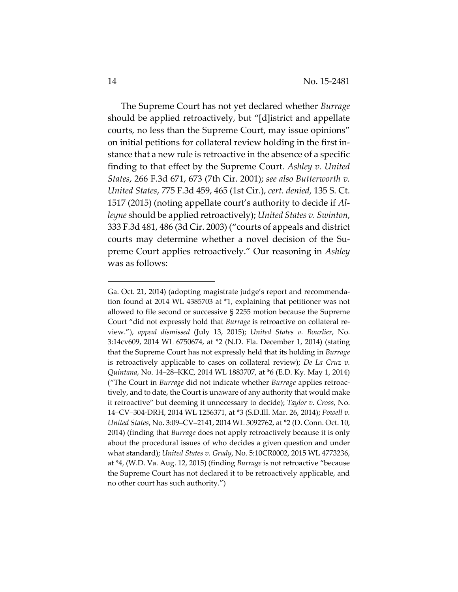The Supreme Court has not yet declared whether *Burrage* should be applied retroactively, but "[d]istrict and appellate courts, no less than the Supreme Court, may issue opinions" on initial petitions for collateral review holding in the first instance that a new rule is retroactive in the absence of a specific finding to that effect by the Supreme Court. *Ashley v. United States*, 266 F.3d 671, 673 (7th Cir. 2001); *see also Butterworth v. United States*, 775 F.3d 459, 465 (1st Cir.), *cert. denied*, 135 S. Ct. 1517 (2015) (noting appellate court's authority to decide if *Alleyne* should be applied retroactively); *United States v. Swinton*, 333 F.3d 481, 486 (3d Cir. 2003) ("courts of appeals and district courts may determine whether a novel decision of the Supreme Court applies retroactively." Our reasoning in *Ashley* was as follows:

 $\overline{a}$ 

Ga. Oct. 21, 2014) (adopting magistrate judge's report and recommendation found at 2014 WL 4385703 at \*1, explaining that petitioner was not allowed to file second or successive § 2255 motion because the Supreme Court "did not expressly hold that *Burrage* is retroactive on collateral review."), *appeal dismissed* (July 13, 2015); *United States v. Bourlier*, No. 3:14cv609, 2014 WL 6750674, at \*2 (N.D. Fla. December 1, 2014) (stating that the Supreme Court has not expressly held that its holding in *Burrage* is retroactively applicable to cases on collateral review); *De La Cruz v. Quintana*, No. 14–28–KKC, 2014 WL 1883707, at \*6 (E.D. Ky. May 1, 2014) ("The Court in *Burrage* did not indicate whether *Burrage* applies retroactively, and to date, the Court is unaware of any authority that would make it retroactive" but deeming it unnecessary to decide); *Taylor v. Cross*, No. 14–CV–304-DRH, 2014 WL 1256371, at \*3 (S.D.Ill. Mar. 26, 2014); *Powell v. United States*, No. 3:09–CV–2141, 2014 WL 5092762, at \*2 (D. Conn. Oct. 10, 2014) (finding that *Burrage* does not apply retroactively because it is only about the procedural issues of who decides a given question and under what standard); *United States v. Grady*, No. 5:10CR0002, 2015 WL 4773236, at \*4, (W.D. Va. Aug. 12, 2015) (finding *Burrage* is not retroactive "because the Supreme Court has not declared it to be retroactively applicable, and no other court has such authority.")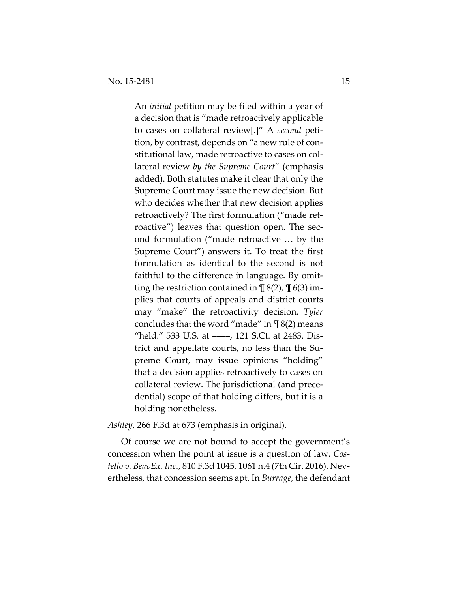An *initial* petition may be filed within a year of a decision that is "made retroactively applicable to cases on collateral review[.]" A *second* petition, by contrast, depends on "a new rule of constitutional law, made retroactive to cases on collateral review *by the Supreme Court*" (emphasis added). Both statutes make it clear that only the Supreme Court may issue the new decision. But who decides whether that new decision applies retroactively? The first formulation ("made retroactive") leaves that question open. The second formulation ("made retroactive … by the Supreme Court") answers it. To treat the first formulation as identical to the second is not faithful to the difference in language. By omitting the restriction contained in  $\P$  8(2),  $\P$  6(3) implies that courts of appeals and district courts may "make" the retroactivity decision. *Tyler* concludes that the word "made" in  $\P$  8(2) means "held." 533 U.S. at ––––, 121 S.Ct. at 2483. District and appellate courts, no less than the Supreme Court, may issue opinions "holding" that a decision applies retroactively to cases on collateral review. The jurisdictional (and precedential) scope of that holding differs, but it is a holding nonetheless.

## *Ashley*, 266 F.3d at 673 (emphasis in original).

Of course we are not bound to accept the government's concession when the point at issue is a question of law. *Costello v. BeavEx, Inc.*, 810 F.3d 1045, 1061 n.4 (7th Cir. 2016). Nevertheless, that concession seems apt. In *Burrage*, the defendant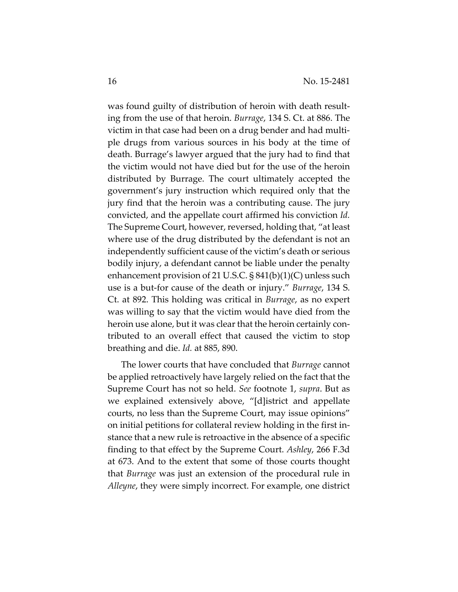was found guilty of distribution of heroin with death resulting from the use of that heroin. *Burrage*, 134 S. Ct. at 886. The victim in that case had been on a drug bender and had multiple drugs from various sources in his body at the time of death. Burrage's lawyer argued that the jury had to find that the victim would not have died but for the use of the heroin distributed by Burrage. The court ultimately accepted the government's jury instruction which required only that the jury find that the heroin was a contributing cause. The jury convicted, and the appellate court affirmed his conviction *Id.* The Supreme Court, however, reversed, holding that, "at least where use of the drug distributed by the defendant is not an independently sufficient cause of the victim's death or serious bodily injury, a defendant cannot be liable under the penalty enhancement provision of 21 U.S.C. § 841(b)(1)(C) unless such use is a but-for cause of the death or injury." *Burrage*, 134 S. Ct. at 892. This holding was critical in *Burrage*, as no expert was willing to say that the victim would have died from the heroin use alone, but it was clear that the heroin certainly contributed to an overall effect that caused the victim to stop breathing and die. *Id.* at 885, 890.

The lower courts that have concluded that *Burrage* cannot be applied retroactively have largely relied on the fact that the Supreme Court has not so held. *See* footnote 1, *supra*. But as we explained extensively above, "[d]istrict and appellate courts, no less than the Supreme Court, may issue opinions" on initial petitions for collateral review holding in the first instance that a new rule is retroactive in the absence of a specific finding to that effect by the Supreme Court. *Ashley*, 266 F.3d at 673. And to the extent that some of those courts thought that *Burrage* was just an extension of the procedural rule in *Alleyne*, they were simply incorrect. For example, one district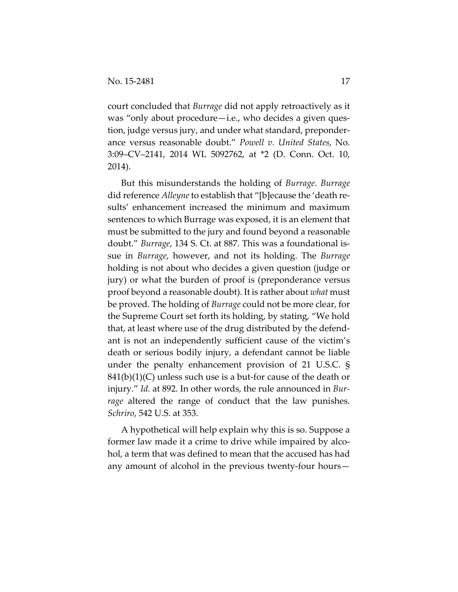court concluded that *Burrage* did not apply retroactively as it was "only about procedure—i.e., who decides a given question, judge versus jury, and under what standard, preponderance versus reasonable doubt." *Powell v. United States*, No. 3:09–CV–2141, 2014 WL 5092762, at \*2 (D. Conn. Oct. 10, 2014).

But this misunderstands the holding of *Burrage*. *Burrage* did reference *Alleyne* to establish that "[b]ecause the 'death results' enhancement increased the minimum and maximum sentences to which Burrage was exposed, it is an element that must be submitted to the jury and found beyond a reasonable doubt." *Burrage*, 134 S. Ct. at 887. This was a foundational issue in *Burrage*, however, and not its holding. The *Burrage* holding is not about who decides a given question (judge or jury) or what the burden of proof is (preponderance versus proof beyond a reasonable doubt). It is rather about *what* must be proved. The holding of *Burrage* could not be more clear, for the Supreme Court set forth its holding, by stating, "We hold that, at least where use of the drug distributed by the defendant is not an independently sufficient cause of the victim's death or serious bodily injury, a defendant cannot be liable under the penalty enhancement provision of 21 U.S.C. §  $841(b)(1)(C)$  unless such use is a but-for cause of the death or injury." *Id.* at 892. In other words, the rule announced in *Burrage* altered the range of conduct that the law punishes. *Schriro*, 542 U.S. at 353.

A hypothetical will help explain why this is so. Suppose a former law made it a crime to drive while impaired by alcohol, a term that was defined to mean that the accused has had any amount of alcohol in the previous twenty-four hours—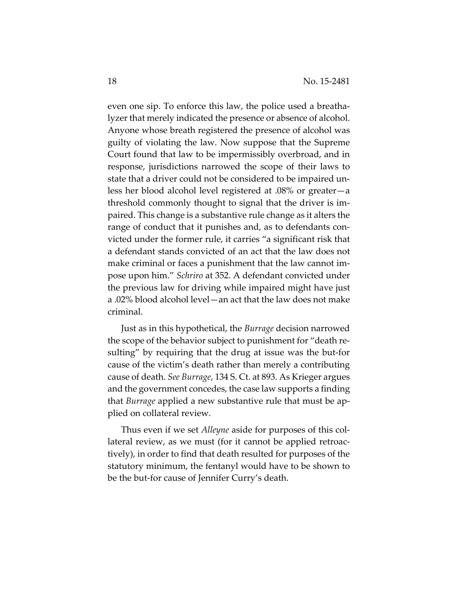even one sip. To enforce this law, the police used a breathalyzer that merely indicated the presence or absence of alcohol. Anyone whose breath registered the presence of alcohol was guilty of violating the law. Now suppose that the Supreme Court found that law to be impermissibly overbroad, and in response, jurisdictions narrowed the scope of their laws to state that a driver could not be considered to be impaired unless her blood alcohol level registered at .08% or greater—a threshold commonly thought to signal that the driver is impaired. This change is a substantive rule change as it alters the range of conduct that it punishes and, as to defendants convicted under the former rule, it carries "a significant risk that a defendant stands convicted of an act that the law does not make criminal or faces a punishment that the law cannot impose upon him." *Schriro* at 352. A defendant convicted under the previous law for driving while impaired might have just a .02% blood alcohol level—an act that the law does not make criminal.

Just as in this hypothetical, the *Burrage* decision narrowed the scope of the behavior subject to punishment for "death resulting" by requiring that the drug at issue was the but-for cause of the victim's death rather than merely a contributing cause of death. *See Burrage*, 134 S. Ct. at 893. As Krieger argues and the government concedes, the case law supports a finding that *Burrage* applied a new substantive rule that must be applied on collateral review.

Thus even if we set *Alleyne* aside for purposes of this collateral review, as we must (for it cannot be applied retroactively), in order to find that death resulted for purposes of the statutory minimum, the fentanyl would have to be shown to be the but-for cause of Jennifer Curry's death.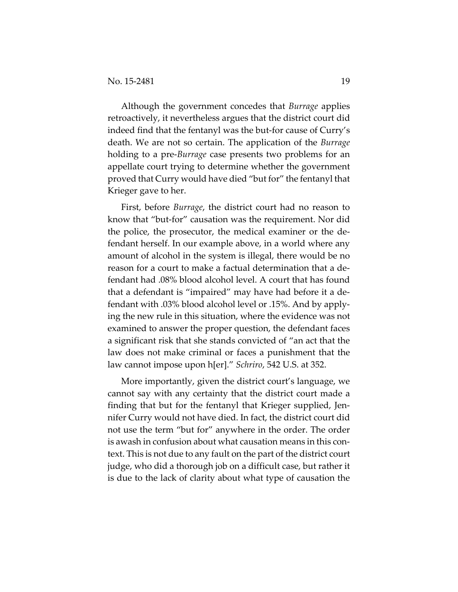Although the government concedes that *Burrage* applies retroactively, it nevertheless argues that the district court did indeed find that the fentanyl was the but-for cause of Curry's death. We are not so certain. The application of the *Burrage* holding to a pre-*Burrage* case presents two problems for an appellate court trying to determine whether the government proved that Curry would have died "but for" the fentanyl that Krieger gave to her.

First, before *Burrage*, the district court had no reason to know that "but-for" causation was the requirement. Nor did the police, the prosecutor, the medical examiner or the defendant herself. In our example above, in a world where any amount of alcohol in the system is illegal, there would be no reason for a court to make a factual determination that a defendant had .08% blood alcohol level. A court that has found that a defendant is "impaired" may have had before it a defendant with .03% blood alcohol level or .15%. And by applying the new rule in this situation, where the evidence was not examined to answer the proper question, the defendant faces a significant risk that she stands convicted of "an act that the law does not make criminal or faces a punishment that the law cannot impose upon h[er]." *Schriro*, 542 U.S. at 352.

More importantly, given the district court's language, we cannot say with any certainty that the district court made a finding that but for the fentanyl that Krieger supplied, Jennifer Curry would not have died. In fact, the district court did not use the term "but for" anywhere in the order. The order is awash in confusion about what causation means in this context. This is not due to any fault on the part of the district court judge, who did a thorough job on a difficult case, but rather it is due to the lack of clarity about what type of causation the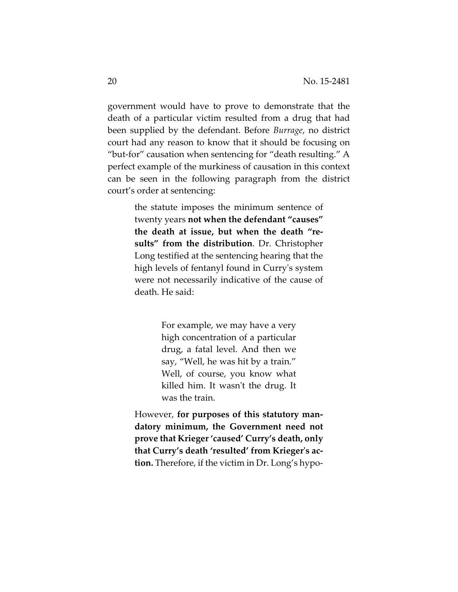government would have to prove to demonstrate that the death of a particular victim resulted from a drug that had been supplied by the defendant. Before *Burrage*, no district court had any reason to know that it should be focusing on "but-for" causation when sentencing for "death resulting." A perfect example of the murkiness of causation in this context can be seen in the following paragraph from the district court's order at sentencing:

> the statute imposes the minimum sentence of twenty years **not when the defendant "causes" the death at issue, but when the death "results" from the distribution**. Dr. Christopher Long testified at the sentencing hearing that the high levels of fentanyl found in Curry's system were not necessarily indicative of the cause of death. He said:

> > For example, we may have a very high concentration of a particular drug, a fatal level. And then we say, "Well, he was hit by a train." Well, of course, you know what killed him. It wasn't the drug. It was the train.

However, **for purposes of this statutory mandatory minimum, the Government need not prove that Krieger 'caused' Curry's death, only that Curry's death 'resulted' from Krieger's action.** Therefore, if the victim in Dr. Long's hypo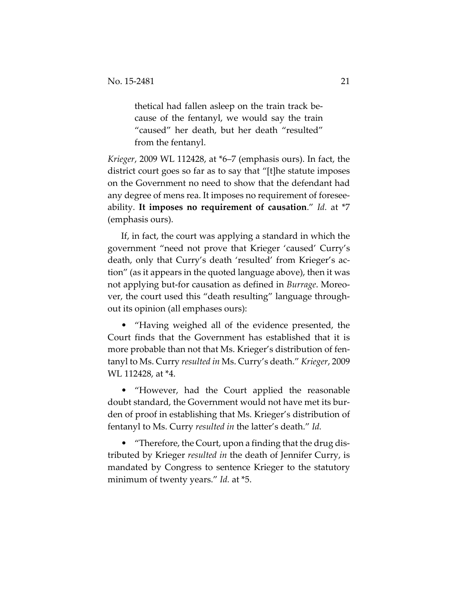thetical had fallen asleep on the train track because of the fentanyl, we would say the train "caused" her death, but her death "resulted" from the fentanyl.

*Krieger*, 2009 WL 112428, at \*6–7 (emphasis ours). In fact, the district court goes so far as to say that "[t]he statute imposes on the Government no need to show that the defendant had any degree of mens rea. It imposes no requirement of foreseeability. **It imposes no requirement of causation**." *Id.* at \*7 (emphasis ours).

If, in fact, the court was applying a standard in which the government "need not prove that Krieger 'caused' Curry's death, only that Curry's death 'resulted' from Krieger's action" (as it appears in the quoted language above), then it was not applying but-for causation as defined in *Burrage*. Moreover, the court used this "death resulting" language throughout its opinion (all emphases ours):

• "Having weighed all of the evidence presented, the Court finds that the Government has established that it is more probable than not that Ms. Krieger's distribution of fentanyl to Ms. Curry *resulted in* Ms. Curry's death." *Krieger*, 2009 WL 112428, at \*4.

• "However, had the Court applied the reasonable doubt standard, the Government would not have met its burden of proof in establishing that Ms. Krieger's distribution of fentanyl to Ms. Curry *resulted in* the latter's death." *Id.*

• "Therefore, the Court, upon a finding that the drug distributed by Krieger *resulted in* the death of Jennifer Curry, is mandated by Congress to sentence Krieger to the statutory minimum of twenty years." *Id.* at \*5.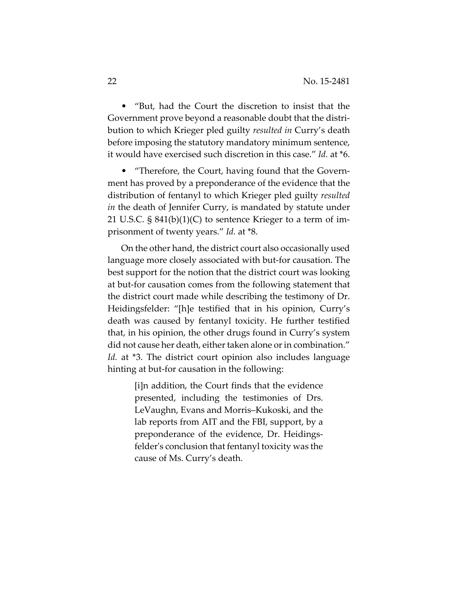• "But, had the Court the discretion to insist that the Government prove beyond a reasonable doubt that the distribution to which Krieger pled guilty *resulted in* Curry's death before imposing the statutory mandatory minimum sentence, it would have exercised such discretion in this case." *Id.* at \*6.

• "Therefore, the Court, having found that the Government has proved by a preponderance of the evidence that the distribution of fentanyl to which Krieger pled guilty *resulted in* the death of Jennifer Curry, is mandated by statute under 21 U.S.C. § 841(b)(1)(C) to sentence Krieger to a term of imprisonment of twenty years." *Id.* at \*8.

On the other hand, the district court also occasionally used language more closely associated with but-for causation. The best support for the notion that the district court was looking at but-for causation comes from the following statement that the district court made while describing the testimony of Dr. Heidingsfelder: "[h]e testified that in his opinion, Curry's death was caused by fentanyl toxicity. He further testified that, in his opinion, the other drugs found in Curry's system did not cause her death, either taken alone or in combination." *Id.* at \*3. The district court opinion also includes language hinting at but-for causation in the following:

> [i]n addition, the Court finds that the evidence presented, including the testimonies of Drs. LeVaughn, Evans and Morris–Kukoski, and the lab reports from AIT and the FBI, support, by a preponderance of the evidence, Dr. Heidingsfelder's conclusion that fentanyl toxicity was the cause of Ms. Curry's death.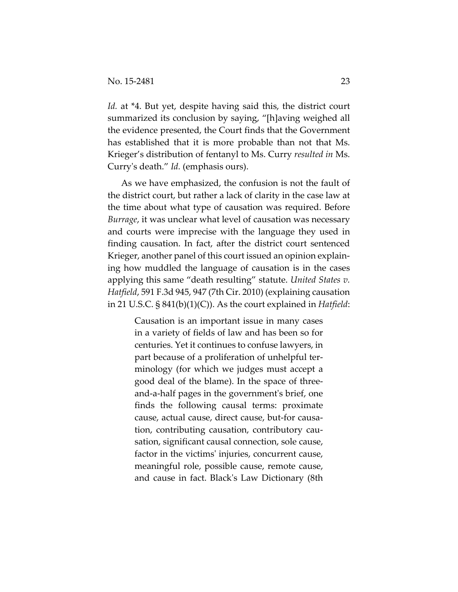*Id.* at \*4. But yet, despite having said this, the district court summarized its conclusion by saying, "[h]aving weighed all the evidence presented, the Court finds that the Government has established that it is more probable than not that Ms. Krieger's distribution of fentanyl to Ms. Curry *resulted in* Ms. Curry's death." *Id.* (emphasis ours).

As we have emphasized, the confusion is not the fault of the district court, but rather a lack of clarity in the case law at the time about what type of causation was required. Before *Burrage*, it was unclear what level of causation was necessary and courts were imprecise with the language they used in finding causation. In fact, after the district court sentenced Krieger, another panel of this court issued an opinion explaining how muddled the language of causation is in the cases applying this same "death resulting" statute. *United States v. Hatfield*, 591 F.3d 945, 947 (7th Cir. 2010) (explaining causation in 21 U.S.C. § 841(b)(1)(C)). As the court explained in *Hatfield*:

> Causation is an important issue in many cases in a variety of fields of law and has been so for centuries. Yet it continues to confuse lawyers, in part because of a proliferation of unhelpful terminology (for which we judges must accept a good deal of the blame). In the space of threeand-a-half pages in the government's brief, one finds the following causal terms: proximate cause, actual cause, direct cause, but-for causation, contributing causation, contributory causation, significant causal connection, sole cause, factor in the victims' injuries, concurrent cause, meaningful role, possible cause, remote cause, and cause in fact. Black's Law Dictionary (8th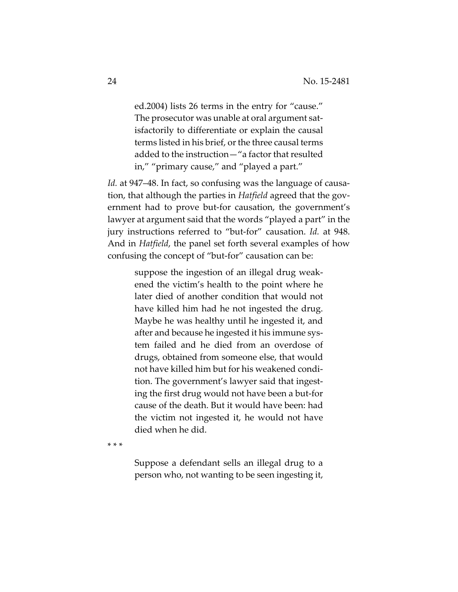ed.2004) lists 26 terms in the entry for "cause." The prosecutor was unable at oral argument satisfactorily to differentiate or explain the causal terms listed in his brief, or the three causal terms added to the instruction—"a factor that resulted in," "primary cause," and "played a part."

*Id.* at 947–48. In fact, so confusing was the language of causation, that although the parties in *Hatfield* agreed that the government had to prove but-for causation, the government's lawyer at argument said that the words "played a part" in the jury instructions referred to "but-for" causation. *Id.* at 948. And in *Hatfield*, the panel set forth several examples of how confusing the concept of "but-for" causation can be:

> suppose the ingestion of an illegal drug weakened the victim's health to the point where he later died of another condition that would not have killed him had he not ingested the drug. Maybe he was healthy until he ingested it, and after and because he ingested it his immune system failed and he died from an overdose of drugs, obtained from someone else, that would not have killed him but for his weakened condition. The government's lawyer said that ingesting the first drug would not have been a but-for cause of the death. But it would have been: had the victim not ingested it, he would not have died when he did.

\* \* \*

Suppose a defendant sells an illegal drug to a person who, not wanting to be seen ingesting it,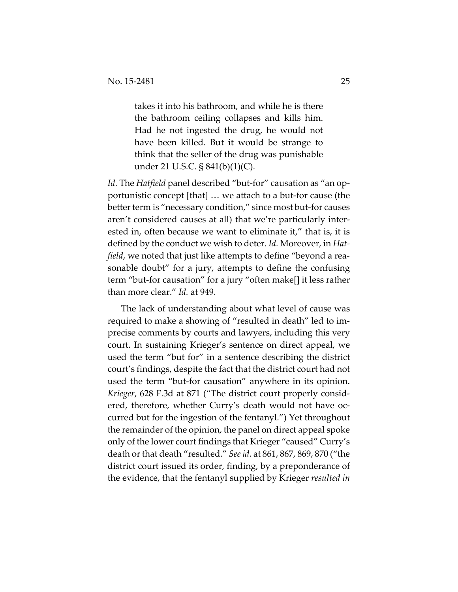takes it into his bathroom, and while he is there the bathroom ceiling collapses and kills him. Had he not ingested the drug, he would not have been killed. But it would be strange to think that the seller of the drug was punishable under 21 U.S.C. § 841(b)(1)(C).

*Id*. The *Hatfield* panel described "but-for" causation as "an opportunistic concept [that] … we attach to a but-for cause (the better term is "necessary condition," since most but-for causes aren't considered causes at all) that we're particularly interested in, often because we want to eliminate it," that is, it is defined by the conduct we wish to deter. *Id.* Moreover, in *Hatfield*, we noted that just like attempts to define "beyond a reasonable doubt" for a jury, attempts to define the confusing term "but-for causation" for a jury "often make[] it less rather than more clear." *Id.* at 949.

The lack of understanding about what level of cause was required to make a showing of "resulted in death" led to imprecise comments by courts and lawyers, including this very court. In sustaining Krieger's sentence on direct appeal, we used the term "but for" in a sentence describing the district court's findings, despite the fact that the district court had not used the term "but-for causation" anywhere in its opinion. *Krieger*, 628 F.3d at 871 ("The district court properly considered, therefore, whether Curry's death would not have occurred but for the ingestion of the fentanyl.") Yet throughout the remainder of the opinion, the panel on direct appeal spoke only of the lower court findings that Krieger "caused" Curry's death or that death "resulted." *Seeid.* at 861, 867, 869, 870 ("the district court issued its order, finding, by a preponderance of the evidence, that the fentanyl supplied by Krieger *resulted in*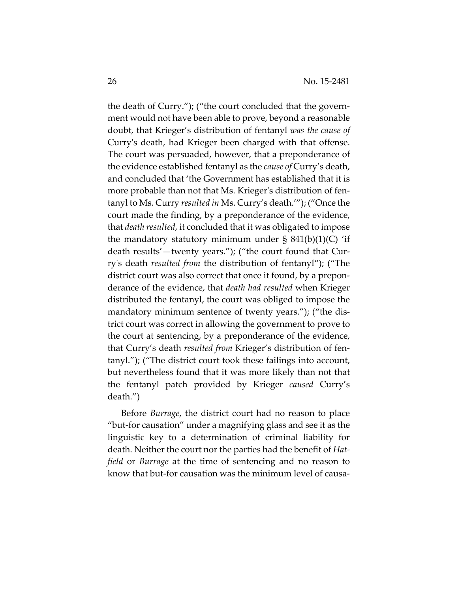the death of Curry."); ("the court concluded that the government would not have been able to prove, beyond a reasonable doubt, that Krieger's distribution of fentanyl *was the cause of*  Curry's death, had Krieger been charged with that offense. The court was persuaded, however, that a preponderance of the evidence established fentanyl as the *cause of* Curry's death, and concluded that 'the Government has established that it is more probable than not that Ms. Krieger's distribution of fentanyl to Ms. Curry *resulted in* Ms. Curry's death.'"); ("Once the court made the finding, by a preponderance of the evidence, that *death resulted*, it concluded that it was obligated to impose the mandatory statutory minimum under  $\S$  841(b)(1)(C) 'if death results'—twenty years."); ("the court found that Curry's death *resulted from* the distribution of fentanyl"); ("The district court was also correct that once it found, by a preponderance of the evidence, that *death had resulted* when Krieger distributed the fentanyl, the court was obliged to impose the mandatory minimum sentence of twenty years."); ("the district court was correct in allowing the government to prove to the court at sentencing, by a preponderance of the evidence, that Curry's death *resulted from* Krieger's distribution of fentanyl."); ("The district court took these failings into account, but nevertheless found that it was more likely than not that the fentanyl patch provided by Krieger *caused* Curry's death.")

Before *Burrage*, the district court had no reason to place "but-for causation" under a magnifying glass and see it as the linguistic key to a determination of criminal liability for death. Neither the court nor the parties had the benefit of *Hatfield* or *Burrage* at the time of sentencing and no reason to know that but-for causation was the minimum level of causa-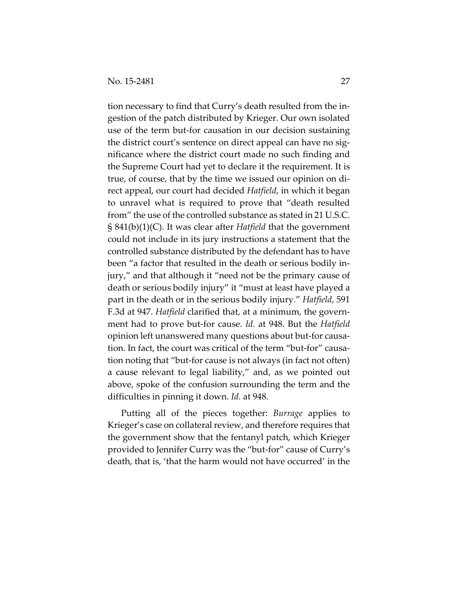tion necessary to find that Curry's death resulted from the ingestion of the patch distributed by Krieger. Our own isolated use of the term but-for causation in our decision sustaining the district court's sentence on direct appeal can have no significance where the district court made no such finding and the Supreme Court had yet to declare it the requirement. It is true, of course, that by the time we issued our opinion on direct appeal, our court had decided *Hatfield*, in which it began to unravel what is required to prove that "death resulted from" the use of the controlled substance as stated in 21 U.S.C. § 841(b)(1)(C). It was clear after *Hatfield* that the government could not include in its jury instructions a statement that the controlled substance distributed by the defendant has to have been "a factor that resulted in the death or serious bodily injury," and that although it "need not be the primary cause of death or serious bodily injury" it "must at least have played a part in the death or in the serious bodily injury." *Hatfield*, 591 F.3d at 947. *Hatfield* clarified that, at a minimum, the government had to prove but-for cause. *Id.* at 948. But the *Hatfield* opinion left unanswered many questions about but-for causation. In fact, the court was critical of the term "but-for" causation noting that "but-for cause is not always (in fact not often) a cause relevant to legal liability," and, as we pointed out above, spoke of the confusion surrounding the term and the difficulties in pinning it down. *Id.* at 948.

Putting all of the pieces together: *Burrage* applies to Krieger's case on collateral review, and therefore requires that the government show that the fentanyl patch, which Krieger provided to Jennifer Curry was the "but-for" cause of Curry's death, that is, 'that the harm would not have occurred' in the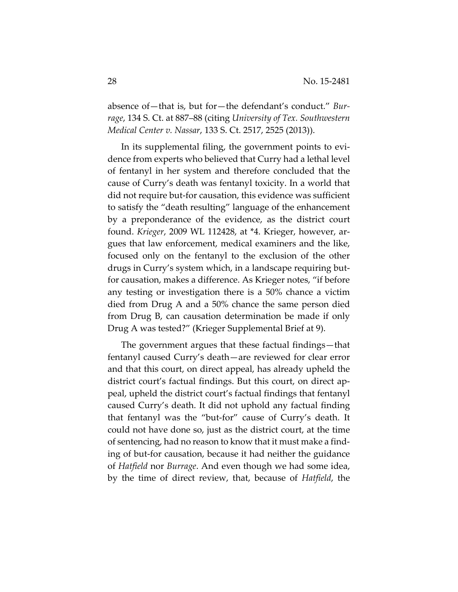absence of—that is, but for—the defendant's conduct." *Burrage*, 134 S. Ct. at 887–88 (citing *University of Tex. Southwestern Medical Center v. Nassar*, 133 S. Ct. 2517, 2525 (2013)).

In its supplemental filing, the government points to evidence from experts who believed that Curry had a lethal level of fentanyl in her system and therefore concluded that the cause of Curry's death was fentanyl toxicity. In a world that did not require but-for causation, this evidence was sufficient to satisfy the "death resulting" language of the enhancement by a preponderance of the evidence, as the district court found. *Krieger*, 2009 WL 112428, at \*4. Krieger, however, argues that law enforcement, medical examiners and the like, focused only on the fentanyl to the exclusion of the other drugs in Curry's system which, in a landscape requiring butfor causation, makes a difference. As Krieger notes, "if before any testing or investigation there is a 50% chance a victim died from Drug A and a 50% chance the same person died from Drug B, can causation determination be made if only Drug A was tested?" (Krieger Supplemental Brief at 9).

The government argues that these factual findings—that fentanyl caused Curry's death—are reviewed for clear error and that this court, on direct appeal, has already upheld the district court's factual findings. But this court, on direct appeal, upheld the district court's factual findings that fentanyl caused Curry's death. It did not uphold any factual finding that fentanyl was the "but-for" cause of Curry's death. It could not have done so, just as the district court, at the time of sentencing, had no reason to know that it must make a finding of but-for causation, because it had neither the guidance of *Hatfield* nor *Burrage*. And even though we had some idea, by the time of direct review, that, because of *Hatfield*, the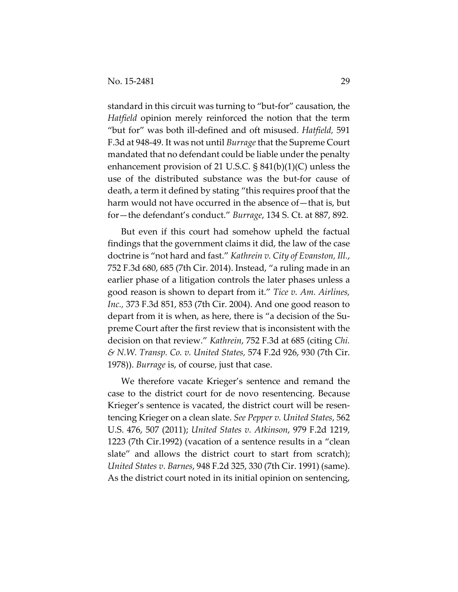standard in this circuit was turning to "but-for" causation, the *Hatfield* opinion merely reinforced the notion that the term "but for" was both ill-defined and oft misused. *Hatfield,* 591 F.3d at 948-49. It was not until *Burrage* that the Supreme Court mandated that no defendant could be liable under the penalty enhancement provision of 21 U.S.C. § 841(b)(1)(C) unless the use of the distributed substance was the but-for cause of death, a term it defined by stating "this requires proof that the harm would not have occurred in the absence of—that is, but for—the defendant's conduct." *Burrage*, 134 S. Ct. at 887, 892.

But even if this court had somehow upheld the factual findings that the government claims it did, the law of the case doctrine is "not hard and fast." *Kathrein v. City of Evanston, Ill.*, 752 F.3d 680, 685 (7th Cir. 2014). Instead, "a ruling made in an earlier phase of a litigation controls the later phases unless a good reason is shown to depart from it." *Tice v. Am. Airlines, Inc.,* 373 F.3d 851, 853 (7th Cir. 2004). And one good reason to depart from it is when, as here, there is "a decision of the Supreme Court after the first review that is inconsistent with the decision on that review." *Kathrein*, 752 F.3d at 685 (citing *Chi. & N.W. Transp. Co. v. United States,* 574 F.2d 926, 930 (7th Cir. 1978)). *Burrage* is, of course, just that case.

We therefore vacate Krieger's sentence and remand the case to the district court for de novo resentencing. Because Krieger's sentence is vacated, the district court will be resentencing Krieger on a clean slate. *See Pepper v. United States*, 562 U.S. 476, 507 (2011); *United States v. Atkinson*, 979 F.2d 1219, 1223 (7th Cir.1992) (vacation of a sentence results in a "clean slate" and allows the district court to start from scratch); *United States v. Barnes*, 948 F.2d 325, 330 (7th Cir. 1991) (same). As the district court noted in its initial opinion on sentencing,